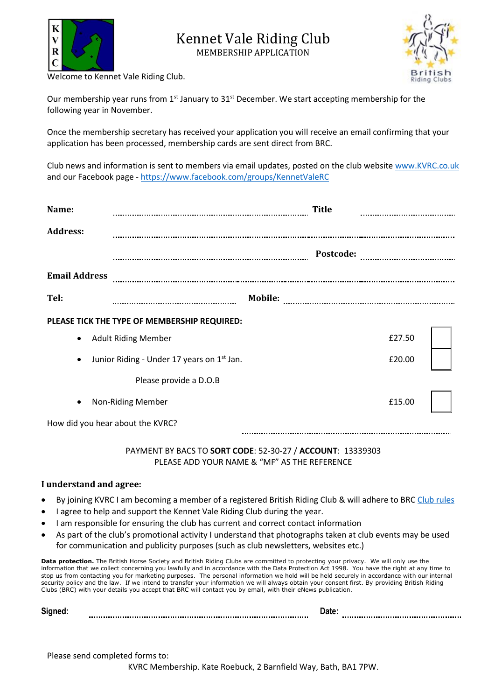



Welcome to Kennet Vale Riding Club.

Our membership year runs from  $1<sup>st</sup>$  January to  $31<sup>st</sup>$  December. We start accepting membership for the following year in November.

Once the membership secretary has received your application you will receive an email confirming that your application has been processed, membership cards are sent direct from BRC.

Club news and information is sent to members via email updates, posted on the club website [www.KVRC.co.uk](http://www.kvrc.co.uk/) and our Facebook page - <https://www.facebook.com/groups/KennetValeRC>

| Name:                                        |                                                        | <b>Title</b> |        |  |  |  |
|----------------------------------------------|--------------------------------------------------------|--------------|--------|--|--|--|
| <b>Address:</b>                              |                                                        |              |        |  |  |  |
|                                              |                                                        | Postcode:    |        |  |  |  |
| <b>Email Address</b>                         |                                                        |              |        |  |  |  |
| Tel:                                         |                                                        | Mobile:      |        |  |  |  |
| PLEASE TICK THE TYPE OF MEMBERSHIP REQUIRED: |                                                        |              |        |  |  |  |
| $\bullet$                                    | <b>Adult Riding Member</b>                             |              | £27.50 |  |  |  |
|                                              | Junior Riding - Under 17 years on 1 <sup>st</sup> Jan. |              | £20.00 |  |  |  |
|                                              | Please provide a D.O.B                                 |              |        |  |  |  |
|                                              | Non-Riding Member                                      |              | £15.00 |  |  |  |
|                                              | How did you hear about the KVRC?                       |              |        |  |  |  |

## PAYMENT BY BACS TO **SORT CODE**: 52-30-27 / **ACCOUNT**: 13339303 PLEASE ADD YOUR NAME & "MF" AS THE REFERENCE

## **I understand and agree:**

- By joining KVRC I am becoming a member of a registered British Riding Club & will adhere to BRC [Club rules](http://www.bhs.org.uk/enjoy-riding/british-riding-clubs/brc-rulebook)
- I agree to help and support the Kennet Vale Riding Club during the year.
- I am responsible for ensuring the club has current and correct contact information
- As part of the club's promotional activity I understand that photographs taken at club events may be used for communication and publicity purposes (such as club newsletters, websites etc.)

**Data protection.** The British Horse Society and British Riding Clubs are committed to protecting your privacy. We will only use the information that we collect concerning you lawfully and in accordance with the Data Protection Act 1998. You have the right at any time to stop us from contacting you for marketing purposes. The personal information we hold will be held securely in accordance with our internal security policy and the law. If we intend to transfer your information we will always obtain your consent first. By providing British Riding Clubs (BRC) with your details you accept that BRC will contact you by email, with their eNews publication.

|--|--|--|--|

Please send completed forms to:

KVRC Membership. Kate Roebuck, 2 Barnfield Way, Bath, BA1 7PW.